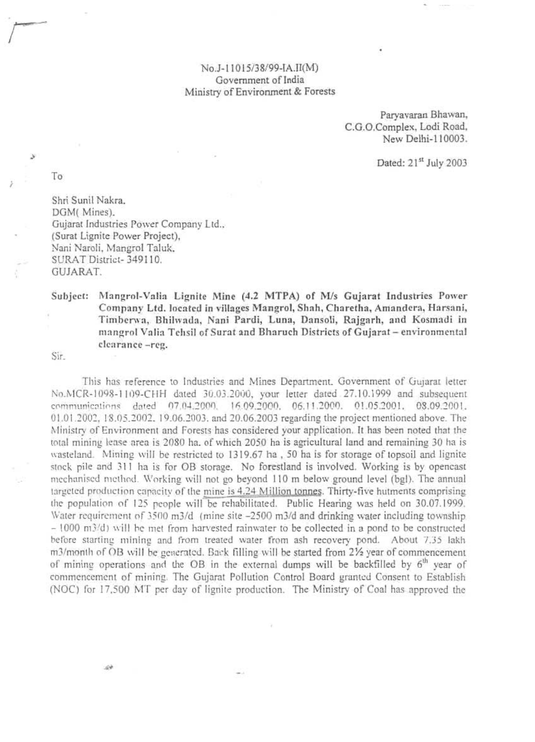## No.J-11015/38/99-IA.II(M) Government of India Ministry of Environment & Forests

Paryavaran Bhawan, C.G.O.Complex, Lodi Road, New Delhi-110003.

Dated: 21st July 2003

To

Shri Sunil Nakra, DGM(Mines). Gujarat Industries Power Company Ltd., (Surat Lignite Power Project), Nani Naroli, Mangrol Taluk, SURAT District-349110. GUJARAT.

## Subject: Mangrol-Valia Lignite Mine (4.2 MTPA) of M/s Gujarat Industries Power Company Ltd. located in villages Mangrol, Shah, Charetha, Amandera, Harsani, Timberwa, Bhilwada, Nani Pardi, Luna, Dansoli, Rajgarh, and Kosmadi in mangrol Valia Tehsil of Surat and Bharuch Districts of Gujarat - environmental clearance-reg.

Sir.

This has reference to Industries and Mines Department. Government of Gujarat letter No.MCR-1098-1109-CHH dated 30.03.2000, your letter dated 27.10.1999 and subsequent communications dated 07.04.2000, 16.09.2000, 06.11.2000, 01.05.2001, 08.09.2001, 01.01.2002, 18.05.2002, 19.06.2003, and 20.06.2003 regarding the project mentioned above. The Ministry of Environment and Forests has considered your application. It has been noted that the total mining lease area is 2080 ha. of which 2050 ha is agricultural land and remaining 30 ha is wasteland. Mining will be restricted to 1319.67 ha, 50 ha is for storage of topsoil and lignite stock pile and 311 ha is for OB storage. No forestland is involved. Working is by opencast mechanised method. Working will not go beyond 110 m below ground level (bgl). The annual targeted production capacity of the mine is 4.24 Million tonnes. Thirty-five hutments comprising the population of 125 people will be rehabilitated. Public Hearing was held on 30.07.1999. Water requirement of 3500 m3/d (mine site -2500 m3/d and drinking water including township - 1000 m3/d) will be met from harvested rainwater to be collected in a pond to be constructed before starting mining and from treated water from ash recovery pond. About 7.35 lakh m3/month of OB will be generated. Back filling will be started from 2½ year of commencement of mining operations and the OB in the external dumps will be backfilled by 6<sup>th</sup> year of commencement of mining. The Gujarat Pollution Control Board granted Consent to Establish (NOC) for 17,500 MT per day of lignite production. The Ministry of Coal has approved the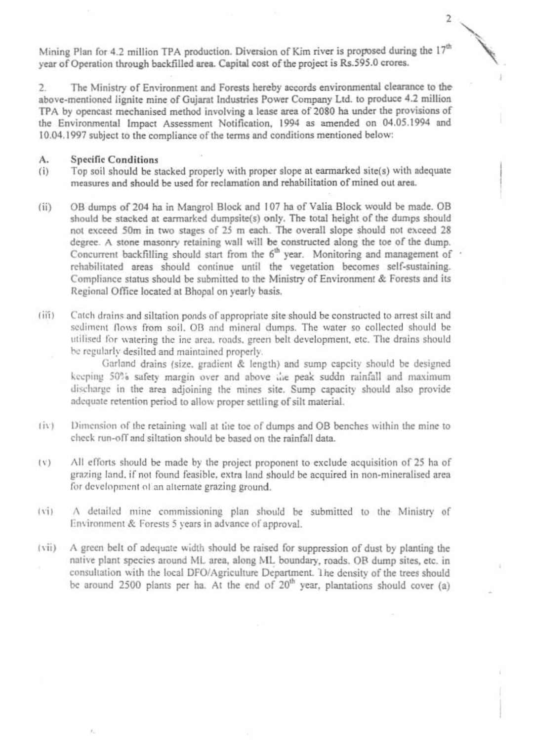Mining Plan for 4.2 million TPA production. Diversion of Kim river is proposed during the 17<sup>th</sup> year of Operation through backfilled area. Capital cost of the project is Rs.595.0 crores.

 $\overline{2}$ 

The Ministry of Environment and Forests hereby accords environmental clearance to the  $2.$ above-mentioned lignite mine of Gujarat Industries Power Company Ltd. to produce 4.2 million TPA by opencast mechanised method involving a lease area of 2080 ha under the provisions of the Environmental Impact Assessment Notification, 1994 as amended on 04.05.1994 and 10.04.1997 subject to the compliance of the terms and conditions mentioned below:

## **Specific Conditions** A.

- Top soil should be stacked properly with proper slope at earmarked site(s) with adequate  $(i)$ measures and should be used for reclamation and rehabilitation of mined out area.
- OB dumps of 204 ha in Mangrol Block and 107 ha of Valia Block would be made. OB  $(ii)$ should be stacked at earmarked dumpsite(s) only. The total height of the dumps should not exceed 50m in two stages of 25 m each. The overall slope should not exceed 28 degree. A stone masonry retaining wall will be constructed along the toe of the dump. Concurrent backfilling should start from the 6<sup>th</sup> year. Monitoring and management of rehabilitated areas should continue until the vegetation becomes self-sustaining. Compliance status should be submitted to the Ministry of Environment & Forests and its Regional Office located at Bhopal on yearly basis.
- Catch drains and siltation ponds of appropriate site should be constructed to arrest silt and  $(iii)$ sediment flows from soil. OB and mineral dumps. The water so collected should be utilised for watering the ine area, roads, green belt development, etc. The drains should be regularly desilted and maintained properly.

Garland drains (size, gradient & length) and sump capcity should be designed keeping 50% safety margin over and above the peak suddn rainfall and maximum discharge in the area adjoining the mines site. Sump capacity should also provide adequate retention period to allow proper settling of silt material.

- Dimension of the retaining wall at the toe of dumps and OB benches within the mine to  $(iv)$ check run-off and siltation should be based on the rainfall data.
- All efforts should be made by the project proponent to exclude acquisition of 25 ha of  $(V)$ grazing land, if not found feasible, extra land should be acquired in non-mineralised area for development of an alternate grazing ground.
- A detailed mine commissioning plan should be submitted to the Ministry of  $(v_i)$ Environment & Forests 5 years in advance of approval.
- A green belt of adequate width should be raised for suppression of dust by planting the  $(vii)$ native plant species around ML area, along ML boundary, roads. OB dump sites, etc. in consultation with the local DFO/Agriculture Department. The density of the trees should be around 2500 plants per ha. At the end of  $20<sup>th</sup>$  year, plantations should cover (a)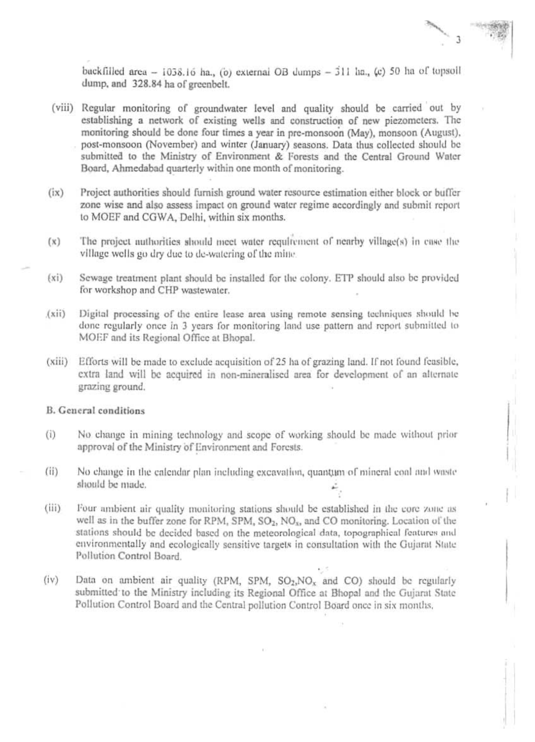backfilled area - 1038.16 ha., (b) external OB dumps -  $311$  ha., (c) 50 ha of topsoll dump, and 328.84 ha of greenbelt.

- (viii) Regular monitoring of groundwater level and quality should be carried out by establishing a network of existing wells and construction of new piezometers. The monitoring should be done four times a year in pre-monsoon (May), monsoon (August), post-monsoon (November) and winter (January) seasons. Data thus collected should be submitted to the Ministry of Environment & Forests and the Central Ground Water Board, Ahmedabad quarterly within one month of monitoring.
- $(ix)$ Project authorities should furnish ground water resource estimation either block or buffer zone wise and also assess impact on ground water regime accordingly and submit report to MOEF and CGWA, Delhi, within six months.
- The project nuthorities should meet water requirement of nearby village(s) in case the  $(x)$ village wells go dry due to de-watering of the mine.
- Sewage treatment plant should be installed for the colony. ETP should also be provided  $(xi)$ for workshop and CHP wastewater.
- Digital processing of the entire lease area using remote sensing techniques should be  $(xii)$ done regularly once in 3 years for monitoring land use pattern and report submitted to MOEF and its Regional Office at Bhopal.
- $(xiii)$ Efforts will be made to exclude acquisition of 25 ha of grazing land. If not found feasible, extra land will be acquired in non-mineralised area for development of an alternate grazing ground.

## **B.** General conditions

No change in mining technology and scope of working should be made without prior  $(i)$ approval of the Ministry of Environment and Forests.

- $(ii)$ No change in the calendar plan including excavation, quantum of mineral coal and waste should be made.
- $(iii)$ Four ambient air quality monitoring stations should be established in the core zone as well as in the buffer zone for RPM, SPM, SO<sub>2</sub>, NO<sub>x</sub>, and CO monitoring. Location of the stations should be decided based on the meteorological data, topographical features and environmentally and ecologically sensitive targets in consultation with the Gujarat State Pollution Control Board.
- $(iv)$ Data on ambient air quality (RPM, SPM,  $SO_2$ , NO<sub>x</sub> and CO) should be regularly submitted to the Ministry including its Regional Office at Bhopal and the Gujarat State Pollution Control Board and the Central pollution Control Board once in six months.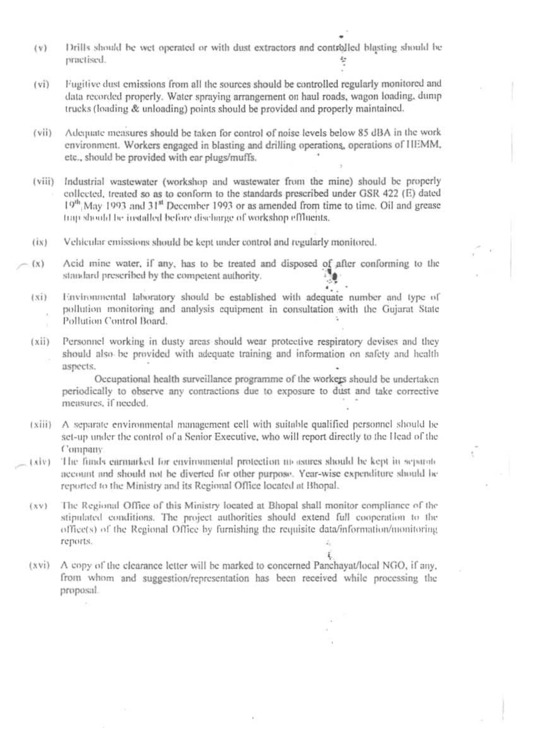- Drills should be wet operated or with dust extractors and controlled blasting should be  $(v)$ practised.
- Fugitive dust emissions from all the sources should be controlled regularly monitored and  $(vi)$ data recorded properly. Water spraying arrangement on haul roads, wagon loading, dump trucks (loading & unloading) points should be provided and properly maintained.
- Adequate measures should be taken for control of noise levels below 85 dBA in the work  $(vii)$ environment. Workers engaged in blasting and drilling operations, operations of HEMM, etc., should be provided with ear plugs/muffs.
- Industrial wastewater (workshop and wastewater from the mine) should be properly  $(viii)$ collected, treated so as to conform to the standards prescribed under GSR 422 (E) dated 19th May 1993 and 31<sup>st</sup> December 1993 or as amended from time to time. Oil and grease trap should be installed before discharge of workshop effluents.
- Vehicular emissions should be kept under control and regularly monitored.  $(ix)$
- Acid mine water, if any, has to be treated and disposed of after conforming to the  $(x)$ standard prescribed by the competent authority.
	- Environmental laboratory should be established with adequate number and type of  $(xi)$ pollution monitoring and analysis equipment in consultation with the Gujarat State Pollution Control Board.
	- Personnel working in dusty areas should wear protective respiratory devises and they  $(xii)$ should also be provided with adequate training and information on safety and health aspects.

Occupational health surveillance programme of the workers should be undertaken periodically to observe any contractions due to exposure to dust and take corrective measures, if needed.

- (xiii) A separate environmental management cell with suitable qualified personnel should be set-up under the control of a Senior Executive, who will report directly to the Head of the Company.
- $(x|y)$ The funds carmarked for environmental protection up asures should be kept in separate account and should not be diverted for other purpose. Year-wise expenditure should be reported to the Ministry and its Regional Office located at Bhopal.
	- The Regional Office of this Ministry located at Bhopal shall monitor compliance of the  $(xy)$ stipulated conditions. The project authorities should extend full cooperation to the office(s) of the Regional Office by furnishing the requisite data/information/monitoring reports.
	- A copy of the clearance letter will be marked to concerned Panchayat/local NGO, if any,  $(xvi)$ from whom and suggestion/representation has been received while processing the proposal.